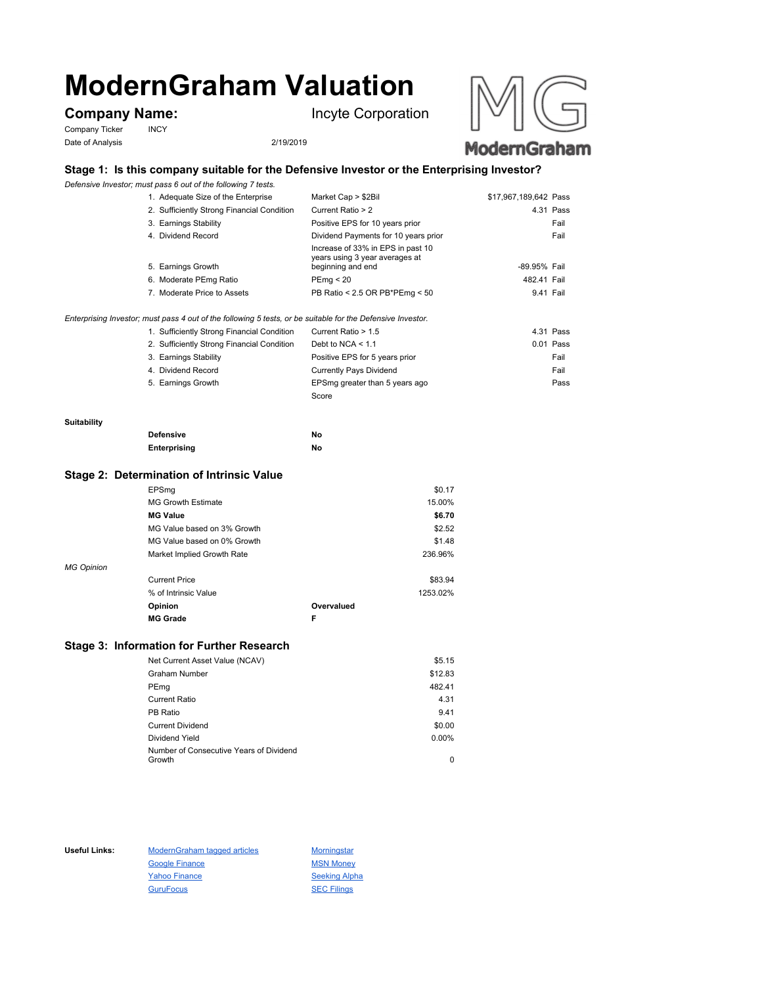# **ModernGraham Valuation**

Company Ticker INCY Date of Analysis 2/19/2019

**Company Name:** Incyte Corporation





# **Stage 1: Is this company suitable for the Defensive Investor or the Enterprising Investor?**

*Defensive Investor; must pass 6 out of the following 7 tests.*

| 1. Adequate Size of the Enterprise         | Market Cap > \$2Bil                                                                      | \$17,967,189,642 Pass |           |
|--------------------------------------------|------------------------------------------------------------------------------------------|-----------------------|-----------|
| 2. Sufficiently Strong Financial Condition | Current Ratio > 2                                                                        |                       | 4.31 Pass |
| 3. Earnings Stability                      | Positive EPS for 10 years prior                                                          |                       | Fail      |
| 4. Dividend Record                         | Dividend Payments for 10 years prior                                                     |                       | Fail      |
| 5. Earnings Growth                         | Increase of 33% in EPS in past 10<br>years using 3 year averages at<br>beginning and end | -89.95% Fail          |           |
| 6. Moderate PEmg Ratio                     | PEmq < 20                                                                                | 482.41 Fail           |           |
| 7. Moderate Price to Assets                | PB Ratio < 2.5 OR PB*PEmg < 50                                                           | 9.41 Fail             |           |

### *Enterprising Investor; must pass 4 out of the following 5 tests, or be suitable for the Defensive Investor.*

| 1. Sufficiently Strong Financial Condition | Current Ratio > 1.5            | 4.31 Pass   |
|--------------------------------------------|--------------------------------|-------------|
| 2. Sufficiently Strong Financial Condition | Debt to NCA $<$ 1.1            | $0.01$ Pass |
| 3. Earnings Stability                      | Positive EPS for 5 years prior | Fail        |
| 4. Dividend Record                         | <b>Currently Pays Dividend</b> | Fail        |
| 5. Earnings Growth                         | EPSmg greater than 5 years ago | Pass        |
|                                            | Score                          |             |

#### **Suitability**

| <b>Defensive</b> | Νo |
|------------------|----|
| Enterprising     | Νo |

## **Stage 2: Determination of Intrinsic Value**

|                   | EPSmg                       |            | \$0.17   |
|-------------------|-----------------------------|------------|----------|
|                   | <b>MG Growth Estimate</b>   |            | 15.00%   |
|                   | <b>MG Value</b>             |            | \$6.70   |
|                   | MG Value based on 3% Growth |            | \$2.52   |
|                   | MG Value based on 0% Growth |            | \$1.48   |
|                   | Market Implied Growth Rate  |            | 236.96%  |
| <b>MG Opinion</b> |                             |            |          |
|                   | <b>Current Price</b>        |            | \$83.94  |
|                   | % of Intrinsic Value        |            | 1253.02% |
|                   | Opinion                     | Overvalued |          |
|                   | <b>MG Grade</b>             | F          |          |

# **Stage 3: Information for Further Research**

| Net Current Asset Value (NCAV)          | \$5.15   |
|-----------------------------------------|----------|
| Graham Number                           | \$12.83  |
| PEmg                                    | 482.41   |
| Current Ratio                           | 4.31     |
| PB Ratio                                | 9.41     |
| <b>Current Dividend</b>                 | \$0.00   |
| Dividend Yield                          | $0.00\%$ |
| Number of Consecutive Years of Dividend |          |
| Growth                                  | 0        |

Useful Links: ModernGraham tagged articles Morningstar Google Finance MSN Money Yahoo Finance Seeking Alpha GuruFocus SEC Filings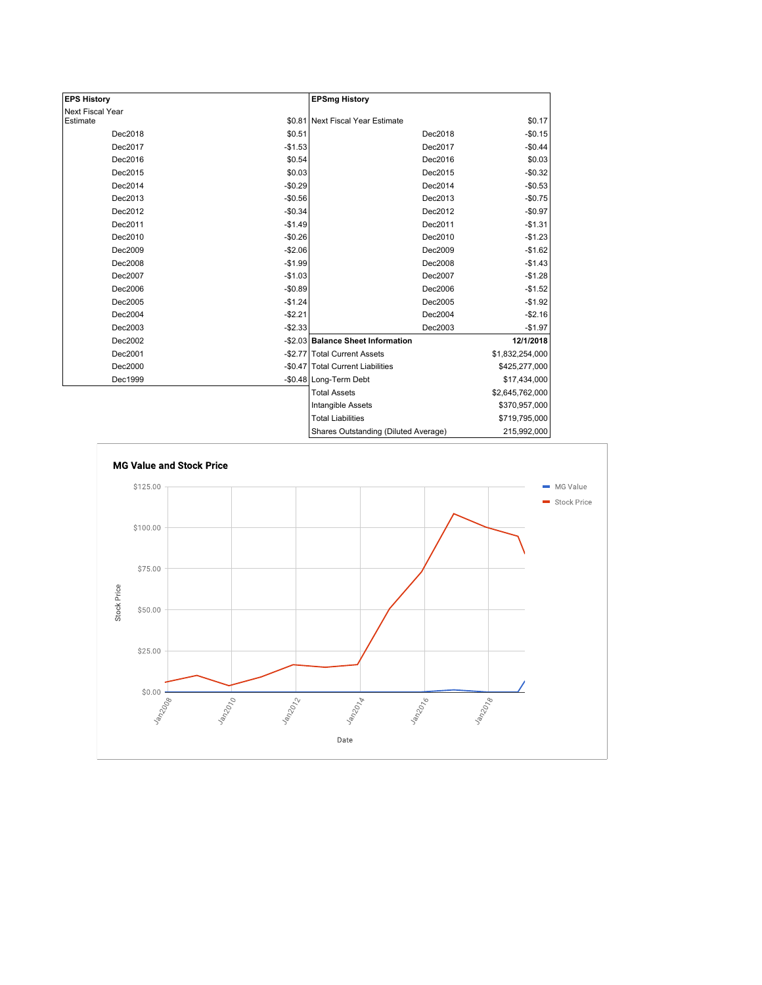| <b>EPS History</b> |          | <b>EPSmg History</b>                 |                 |
|--------------------|----------|--------------------------------------|-----------------|
| Next Fiscal Year   |          |                                      |                 |
| Estimate           |          | \$0.81 Next Fiscal Year Estimate     | \$0.17          |
| Dec2018            | \$0.51   | Dec2018                              | $-$0.15$        |
| Dec2017            | $-$1.53$ | Dec2017                              | $-$0.44$        |
| Dec2016            | \$0.54   | Dec2016                              | \$0.03          |
| Dec2015            | \$0.03   | Dec2015                              | $-$0.32$        |
| Dec2014            | $-$0.29$ | Dec2014                              | $-$0.53$        |
| Dec2013            | $-$0.56$ | Dec2013                              | $-$0.75$        |
| Dec2012            | $-$0.34$ | Dec2012                              | $-$0.97$        |
| Dec2011            | $-$1.49$ | Dec2011                              | $-$1.31$        |
| Dec2010            | $-$0.26$ | Dec2010                              | $-$1.23$        |
| Dec2009            | $-$2.06$ | Dec2009                              | $-$1.62$        |
| Dec2008            | $-$1.99$ | Dec2008                              | $-$1.43$        |
| Dec2007            | $-$1.03$ | Dec2007                              | $-$1.28$        |
| Dec2006            | $-$0.89$ | Dec2006                              | $-$1.52$        |
| Dec2005            | $-$1.24$ | Dec2005                              | $-$1.92$        |
| Dec2004            | $-$2.21$ | Dec2004                              | $-$2.16$        |
| Dec2003            | $-$2.33$ | Dec2003                              | $-$1.97$        |
| Dec2002            |          | -\$2.03 Balance Sheet Information    | 12/1/2018       |
| Dec2001            |          | -\$2.77 Total Current Assets         | \$1,832,254,000 |
| Dec2000            |          | -\$0.47 Total Current Liabilities    | \$425,277,000   |
| Dec1999            |          | -\$0.48 Long-Term Debt               | \$17,434,000    |
|                    |          | <b>Total Assets</b>                  | \$2,645,762,000 |
|                    |          | Intangible Assets                    | \$370,957,000   |
|                    |          | <b>Total Liabilities</b>             | \$719,795,000   |
|                    |          | Charge Outetanding (Diluted Average) | 215, 002, 000   |